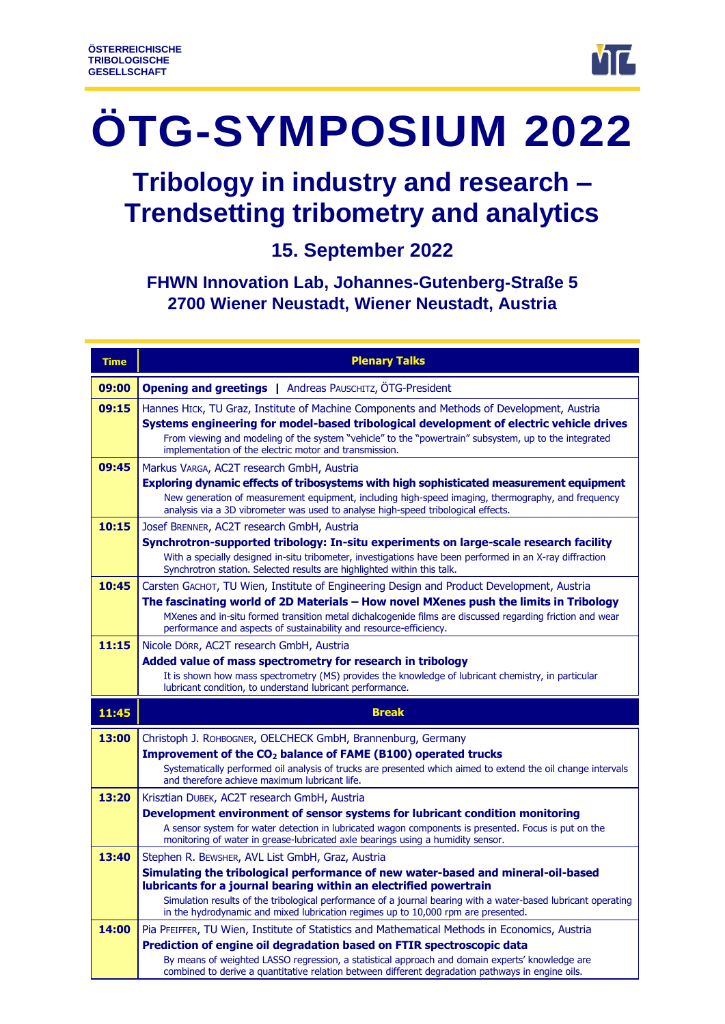

# **ÖTG-SYMPOSIUM 2022**

# **Tribology in industry and research – Trendsetting tribometry and analytics**

**15. September 2022**

**FHWN Innovation Lab, Johannes-Gutenberg-Straße 5 2700 Wiener Neustadt, Wiener Neustadt, Austria**

| <b>Time</b> | <b>Plenary Talks</b>                                                                                                                                                                                                                                                                                                                                                                                             |
|-------------|------------------------------------------------------------------------------------------------------------------------------------------------------------------------------------------------------------------------------------------------------------------------------------------------------------------------------------------------------------------------------------------------------------------|
| 09:00       | <b>Opening and greetings   Andreas PAUSCHITZ, ÖTG-President</b>                                                                                                                                                                                                                                                                                                                                                  |
| 09:15       | Hannes HICK, TU Graz, Institute of Machine Components and Methods of Development, Austria<br>Systems engineering for model-based tribological development of electric vehicle drives<br>From viewing and modeling of the system "vehicle" to the "powertrain" subsystem, up to the integrated<br>implementation of the electric motor and transmission.                                                          |
| 09:45       | Markus VARGA, AC2T research GmbH, Austria<br>Exploring dynamic effects of tribosystems with high sophisticated measurement equipment<br>New generation of measurement equipment, including high-speed imaging, thermography, and frequency<br>analysis via a 3D vibrometer was used to analyse high-speed tribological effects.                                                                                  |
| 10:15       | Josef BRENNER, AC2T research GmbH, Austria<br>Synchrotron-supported tribology: In-situ experiments on large-scale research facility<br>With a specially designed in-situ tribometer, investigations have been performed in an X-ray diffraction<br>Synchrotron station. Selected results are highlighted within this talk.                                                                                       |
| 10:45       | Carsten GACHOT, TU Wien, Institute of Engineering Design and Product Development, Austria<br>The fascinating world of 2D Materials - How novel MXenes push the limits in Tribology<br>MXenes and in-situ formed transition metal dichalcogenide films are discussed regarding friction and wear<br>performance and aspects of sustainability and resource-efficiency.                                            |
| 11:15       | Nicole Dörr, AC2T research GmbH, Austria<br>Added value of mass spectrometry for research in tribology<br>It is shown how mass spectrometry (MS) provides the knowledge of lubricant chemistry, in particular<br>lubricant condition, to understand lubricant performance.                                                                                                                                       |
| 11:45       | <b>Break</b>                                                                                                                                                                                                                                                                                                                                                                                                     |
| 13:00       | Christoph J. ROHBOGNER, OELCHECK GmbH, Brannenburg, Germany<br>Improvement of the CO <sub>2</sub> balance of FAME (B100) operated trucks<br>Systematically performed oil analysis of trucks are presented which aimed to extend the oil change intervals<br>and therefore achieve maximum lubricant life.                                                                                                        |
| 13:20       | Krisztian DUBEK, AC2T research GmbH, Austria<br>Development environment of sensor systems for lubricant condition monitoring<br>A sensor system for water detection in lubricated wagon components is presented. Focus is put on the<br>monitoring of water in grease-lubricated axle bearings using a humidity sensor.                                                                                          |
| 13:40       | Stephen R. BEWSHER, AVL List GmbH, Graz, Austria<br>Simulating the tribological performance of new water-based and mineral-oil-based<br>lubricants for a journal bearing within an electrified powertrain<br>Simulation results of the tribological performance of a journal bearing with a water-based lubricant operating<br>in the hydrodynamic and mixed lubrication regimes up to 10,000 rpm are presented. |
| 14:00       | Pia PFEIFFER, TU Wien, Institute of Statistics and Mathematical Methods in Economics, Austria<br>Prediction of engine oil degradation based on FTIR spectroscopic data<br>By means of weighted LASSO regression, a statistical approach and domain experts' knowledge are<br>combined to derive a quantitative relation between different degradation pathways in engine oils.                                   |